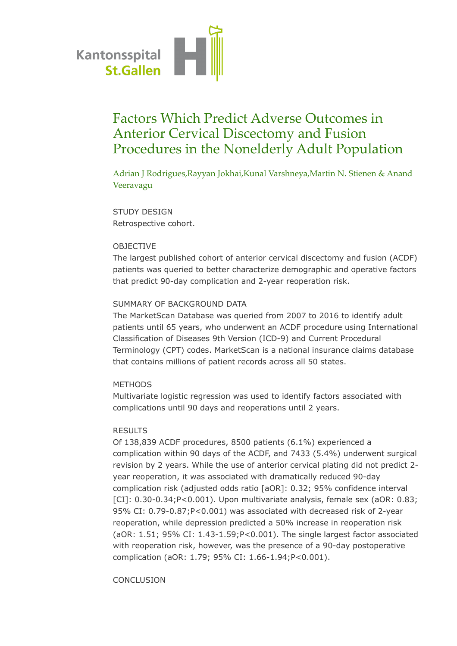

# Factors Which Predict Adverse Outcomes in Anterior Cervical Discectomy and Fusion Procedures in the Nonelderly Adult Population

Adrian J Rodrigues,Rayyan Jokhai,Kunal Varshneya,Martin N. Stienen & Anand Veeravagu

STUDY DESIGN Retrospective cohort.

## OBJECTIVE

The largest published cohort of anterior cervical discectomy and fusion (ACDF) patients was queried to better characterize demographic and operative factors that predict 90-day complication and 2-year reoperation risk.

## SUMMARY OF BACKGROUND DATA

The MarketScan Database was queried from 2007 to 2016 to identify adult patients until 65 years, who underwent an ACDF procedure using International Classification of Diseases 9th Version (ICD-9) and Current Procedural Terminology (CPT) codes. MarketScan is a national insurance claims database that contains millions of patient records across all 50 states.

## METHODS

Multivariate logistic regression was used to identify factors associated with complications until 90 days and reoperations until 2 years.

## RESULTS

Of 138,839 ACDF procedures, 8500 patients (6.1%) experienced a complication within 90 days of the ACDF, and 7433 (5.4%) underwent surgical revision by 2 years. While the use of anterior cervical plating did not predict 2 year reoperation, it was associated with dramatically reduced 90-day complication risk (adjusted odds ratio [aOR]: 0.32; 95% confidence interval [CI]: 0.30-0.34;P<0.001). Upon multivariate analysis, female sex (aOR: 0.83; 95% CI: 0.79-0.87;P<0.001) was associated with decreased risk of 2-year reoperation, while depression predicted a 50% increase in reoperation risk (aOR: 1.51; 95% CI: 1.43-1.59;P<0.001). The single largest factor associated with reoperation risk, however, was the presence of a 90-day postoperative complication (aOR: 1.79; 95% CI: 1.66-1.94;P<0.001).

## **CONCLUSION**